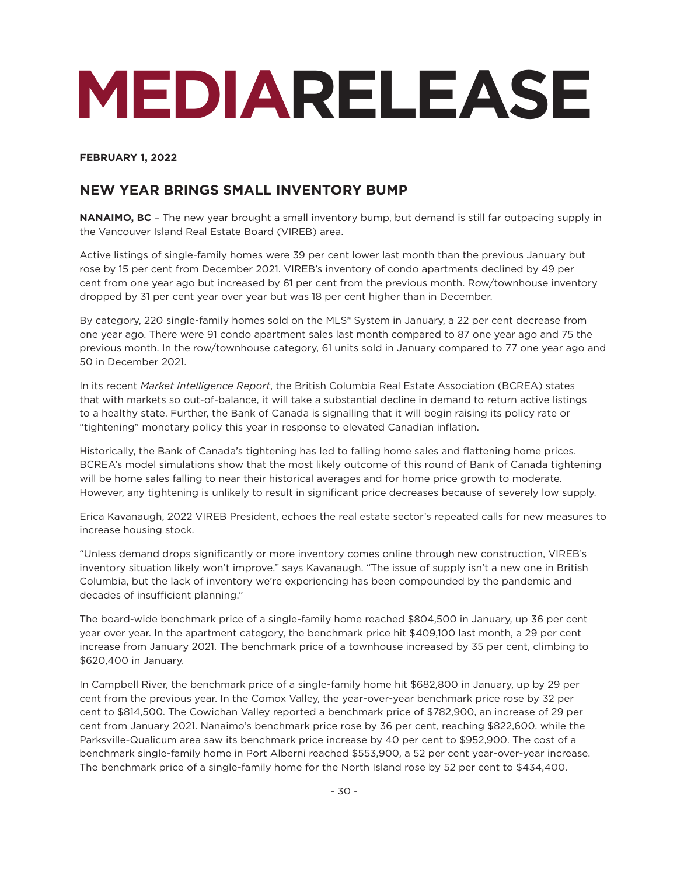# **MEDIARELEASE**

# **FEBRUARY 1, 2022**

# **NEW YEAR BRINGS SMALL INVENTORY BUMP**

**NANAIMO, BC** – The new year brought a small inventory bump, but demand is still far outpacing supply in the Vancouver Island Real Estate Board (VIREB) area.

Active listings of single-family homes were 39 per cent lower last month than the previous January but rose by 15 per cent from December 2021. VIREB's inventory of condo apartments declined by 49 per cent from one year ago but increased by 61 per cent from the previous month. Row/townhouse inventory dropped by 31 per cent year over year but was 18 per cent higher than in December.

By category, 220 single-family homes sold on the MLS® System in January, a 22 per cent decrease from one year ago. There were 91 condo apartment sales last month compared to 87 one year ago and 75 the previous month. In the row/townhouse category, 61 units sold in January compared to 77 one year ago and 50 in December 2021.

In its recent *Market Intelligence Report*, the British Columbia Real Estate Association (BCREA) states that with markets so out-of-balance, it will take a substantial decline in demand to return active listings to a healthy state. Further, the Bank of Canada is signalling that it will begin raising its policy rate or "tightening" monetary policy this year in response to elevated Canadian inflation.

Historically, the Bank of Canada's tightening has led to falling home sales and flattening home prices. BCREA's model simulations show that the most likely outcome of this round of Bank of Canada tightening will be home sales falling to near their historical averages and for home price growth to moderate. However, any tightening is unlikely to result in significant price decreases because of severely low supply.

Erica Kavanaugh, 2022 VIREB President, echoes the real estate sector's repeated calls for new measures to increase housing stock.

"Unless demand drops significantly or more inventory comes online through new construction, VIREB's inventory situation likely won't improve," says Kavanaugh. "The issue of supply isn't a new one in British Columbia, but the lack of inventory we're experiencing has been compounded by the pandemic and decades of insufficient planning."

The board-wide benchmark price of a single-family home reached \$804,500 in January, up 36 per cent year over year. In the apartment category, the benchmark price hit \$409,100 last month, a 29 per cent increase from January 2021. The benchmark price of a townhouse increased by 35 per cent, climbing to \$620,400 in January.

In Campbell River, the benchmark price of a single-family home hit \$682,800 in January, up by 29 per cent from the previous year. In the Comox Valley, the year-over-year benchmark price rose by 32 per cent to \$814,500. The Cowichan Valley reported a benchmark price of \$782,900, an increase of 29 per cent from January 2021. Nanaimo's benchmark price rose by 36 per cent, reaching \$822,600, while the Parksville-Qualicum area saw its benchmark price increase by 40 per cent to \$952,900. The cost of a benchmark single-family home in Port Alberni reached \$553,900, a 52 per cent year-over-year increase. The benchmark price of a single-family home for the North Island rose by 52 per cent to \$434,400.